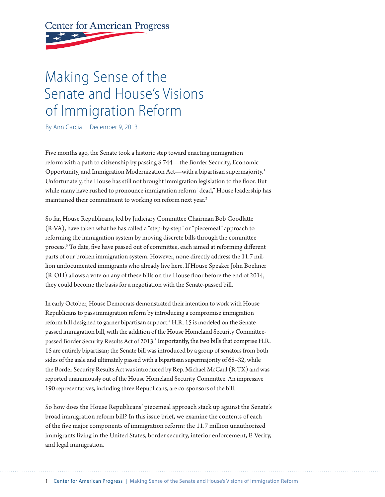# **Center for American Progress**

# Making Sense of the Senate and House's Visions of Immigration Reform

By Ann Garcia December 9, 2013

Five months ago, the Senate took a historic step toward enacting immigration reform with a path to citizenship by passing S.744—the Border Security, Economic Opportunity, and Immigration Modernization Act—with a bipartisan supermajority.1 Unfortunately, the House has still not brought immigration legislation to the floor. But while many have rushed to pronounce immigration reform "dead," House leadership has maintained their commitment to working on reform next year.<sup>2</sup>

So far, House Republicans, led by Judiciary Committee Chairman Bob Goodlatte (R-VA), have taken what he has called a "step-by-step" or "piecemeal" approach to reforming the immigration system by moving discrete bills through the committee process.<sup>3</sup> To date, five have passed out of committee, each aimed at reforming different parts of our broken immigration system. However, none directly address the 11.7 million undocumented immigrants who already live here. If House Speaker John Boehner  $(R-OH)$  allows a vote on any of these bills on the House floor before the end of 2014, they could become the basis for a negotiation with the Senate-passed bill.

In early October, House Democrats demonstrated their intention to work with House Republicans to pass immigration reform by introducing a compromise immigration reform bill designed to garner bipartisan support.<sup>4</sup> H.R. 15 is modeled on the Senatepassed immigration bill, with the addition of the House Homeland Security Committeepassed Border Security Results Act of 2013.<sup>5</sup> Importantly, the two bills that comprise H.R. 15 are entirely bipartisan; the Senate bill was introduced by a group of senators from both sides of the aisle and ultimately passed with a bipartisan supermajority of 68–32, while the Border Security Results Act was introduced by Rep. Michael McCaul (R-TX) and was reported unanimously out of the House Homeland Security Committee. An impressive 190 representatives, including three Republicans, are co-sponsors of the bill.

So how does the House Republicans' piecemeal approach stack up against the Senate's broad immigration reform bill? In this issue brief, we examine the contents of each of the five major components of immigration reform: the 11.7 million unauthorized immigrants living in the United States, border security, interior enforcement, E-Verify, and legal immigration.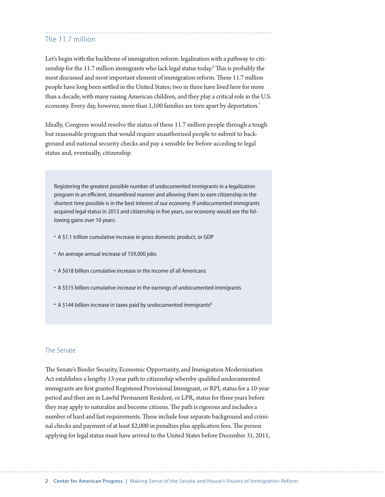## The 11.7 million

Let's begin with the backbone of immigration reform: legalization with a pathway to citizenship for the 11.7 million immigrants who lack legal status today.<sup>6</sup> This is probably the most discussed and most important element of immigration reform. These 11.7 million people have long been se#led in the United States; two in three have lived here for more than a decade, with many raising American children, and they play a critical role in the U.S. economy. Every day, however, more than 1,100 families are torn apart by deportation.<sup>7</sup>

Ideally, Congress would resolve the status of these 11.7 million people through a tough but reasonable program that would require unauthorized people to submit to background and national security checks and pay a sensible fee before acceding to legal status and, eventually, citizenship.

Registering the greatest possible number of undocumented immigrants in a legalization program in an efficient, streamlined manner and allowing them to earn citizenship in the shortest time possible is in the best interest of our economy. If undocumented immigrants acquired legal status in 2013 and citizenship in five years, our economy would see the following gains over 10 years:

- A \$1.1 trillion cumulative increase in gross domestic product, or GDP
- An average annual increase of 159,000 jobs
- A \$618 billion cumulative increase in the income of all Americans
- A \$515 billion cumulative increase in the earnings of undocumented immigrants
- A \$144 billion increase in taxes paid by undocumented immigrants<sup>8</sup>

#### The Senate

The Senate's Border Security, Economic Opportunity, and Immigration Modernization Act establishes a lengthy 13-year path to citizenship whereby qualified undocumented immigrants are first granted Registered Provisional Immigrant, or RPI, status for a 10-year period and then are in Lawful Permanent Resident, or LPR, status for three years before they may apply to naturalize and become citizens. The path is rigorous and includes a number of hard and fast requirements. These include four separate background and criminal checks and payment of at least \$2,000 in penalties plus application fees. The person applying for legal status must have arrived to the United States before December 31, 2011,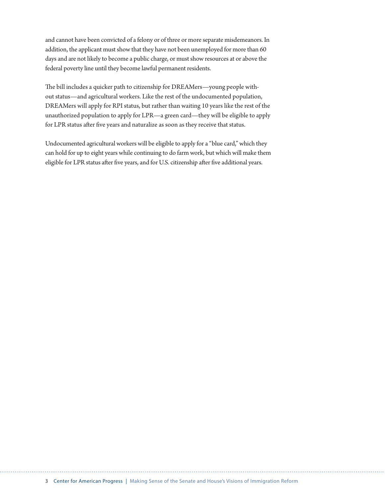and cannot have been convicted of a felony or of three or more separate misdemeanors. In addition, the applicant must show that they have not been unemployed for more than 60 days and are not likely to become a public charge, or must show resources at or above the federal poverty line until they become lawful permanent residents.

The bill includes a quicker path to citizenship for DREAMers—young people without status—and agricultural workers. Like the rest of the undocumented population, DREAMers will apply for RPI status, but rather than waiting 10 years like the rest of the unauthorized population to apply for LPR—a green card—they will be eligible to apply for LPR status after five years and naturalize as soon as they receive that status.

Undocumented agricultural workers will be eligible to apply for a "blue card," which they can hold for up to eight years while continuing to do farm work, but which will make them eligible for LPR status after five years, and for U.S. citizenship after five additional years.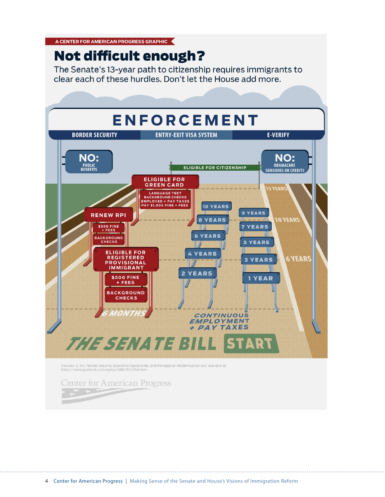A CENTER FOR AMERICAN PROGRESS GRAPHIC

# Not difficult enough?

The Senate's 13-year path to citizenship requires immigrants to clear each of these hurdles. Don't let the House add more.

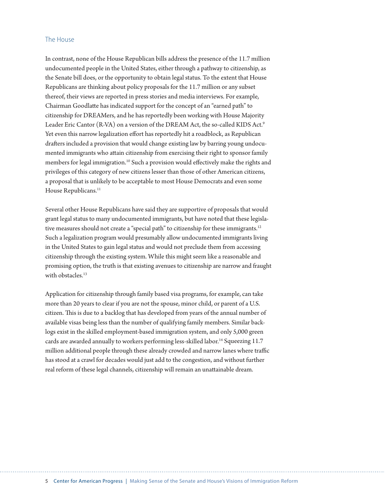#### The House

In contrast, none of the House Republican bills address the presence of the 11.7 million undocumented people in the United States, either through a pathway to citizenship, as the Senate bill does, or the opportunity to obtain legal status. To the extent that House Republicans are thinking about policy proposals for the 11.7 million or any subset thereof, their views are reported in press stories and media interviews. For example, Chairman Goodlatte has indicated support for the concept of an "earned path" to citizenship for DREAMers, and he has reportedly been working with House Majority Leader Eric Cantor (R-VA) on a version of the DREAM Act, the so-called KIDS Act.<sup>9</sup> Yet even this narrow legalization effort has reportedly hit a roadblock, as Republican drafters included a provision that would change existing law by barring young undocumented immigrants who attain citizenship from exercising their right to sponsor family members for legal immigration.<sup>10</sup> Such a provision would effectively make the rights and privileges of this category of new citizens lesser than those of other American citizens, a proposal that is unlikely to be acceptable to most House Democrats and even some House Republicans.<sup>11</sup>

Several other House Republicans have said they are supportive of proposals that would grant legal status to many undocumented immigrants, but have noted that these legislative measures should not create a "special path" to citizenship for these immigrants.<sup>12</sup> Such a legalization program would presumably allow undocumented immigrants living in the United States to gain legal status and would not preclude them from accessing citizenship through the existing system. While this might seem like a reasonable and promising option, the truth is that existing avenues to citizenship are narrow and fraught with obstacles.<sup>13</sup>

Application for citizenship through family based visa programs, for example, can take more than 20 years to clear if you are not the spouse, minor child, or parent of a U.S. citizen. This is due to a backlog that has developed from years of the annual number of available visas being less than the number of qualifying family members. Similar backlogs exist in the skilled employment-based immigration system, and only 5,000 green cards are awarded annually to workers performing less-skilled labor.<sup>14</sup> Squeezing 11.7 million additional people through these already crowded and narrow lanes where traffic has stood at a crawl for decades would just add to the congestion, and without further real reform of these legal channels, citizenship will remain an unattainable dream.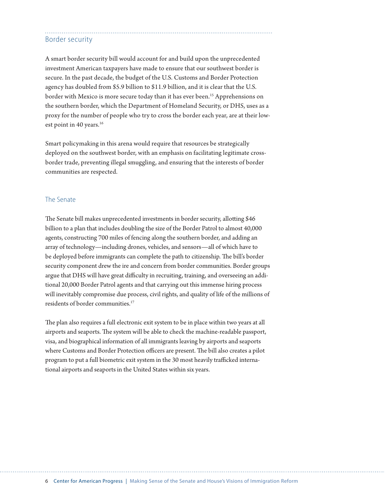## Border security

A smart border security bill would account for and build upon the unprecedented investment American taxpayers have made to ensure that our southwest border is secure. In the past decade, the budget of the U.S. Customs and Border Protection agency has doubled from \$5.9 billion to \$11.9 billion, and it is clear that the U.S. border with Mexico is more secure today than it has ever been.<sup>15</sup> Apprehensions on the southern border, which the Department of Homeland Security, or DHS, uses as a proxy for the number of people who try to cross the border each year, are at their lowest point in 40 years.<sup>16</sup>

Smart policymaking in this arena would require that resources be strategically deployed on the southwest border, with an emphasis on facilitating legitimate crossborder trade, preventing illegal smuggling, and ensuring that the interests of border communities are respected.

#### The Senate

The Senate bill makes unprecedented investments in border security, allotting \$46 billion to a plan that includes doubling the size of the Border Patrol to almost 40,000 agents, constructing 700 miles of fencing along the southern border, and adding an array of technology—including drones, vehicles, and sensors—all of which have to be deployed before immigrants can complete the path to citizenship. The bill's border security component drew the ire and concern from border communities. Border groups argue that DHS will have great difficulty in recruiting, training, and overseeing an additional 20,000 Border Patrol agents and that carrying out this immense hiring process will inevitably compromise due process, civil rights, and quality of life of the millions of residents of border communities.<sup>17</sup>

The plan also requires a full electronic exit system to be in place within two years at all airports and seaports. The system will be able to check the machine-readable passport, visa, and biographical information of all immigrants leaving by airports and seaports where Customs and Border Protection officers are present. The bill also creates a pilot program to put a full biometric exit system in the 30 most heavily trafficked international airports and seaports in the United States within six years.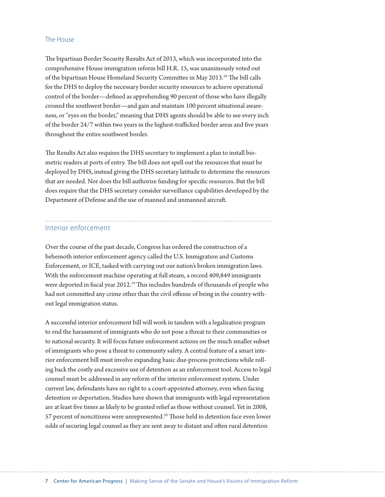#### The House

The bipartisan Border Security Results Act of 2013, which was incorporated into the comprehensive House immigration reform bill H.R. 15, was unanimously voted out of the bipartisan House Homeland Security Committee in May 2013.<sup>18</sup> The bill calls for the DHS to deploy the necessary border security resources to achieve operational control of the border—defined as apprehending 90 percent of those who have illegally crossed the southwest border—and gain and maintain 100 percent situational awareness, or "eyes on the border," meaning that DHS agents should be able to see every inch of the border 24/7 within two years in the highest-trafficked border areas and five years throughout the entire southwest border.

The Results Act also requires the DHS secretary to implement a plan to install biometric readers at ports of entry. The bill does not spell out the resources that must be deployed by DHS, instead giving the DHS secretary latitude to determine the resources that are needed. Nor does the bill authorize funding for specific resources. But the bill does require that the DHS secretary consider surveillance capabilities developed by the Department of Defense and the use of manned and unmanned aircraft.

#### Interior enforcement

Over the course of the past decade, Congress has ordered the construction of a behemoth interior enforcement agency called the U.S. Immigration and Customs Enforcement, or ICE, tasked with carrying out our nation's broken immigration laws. With the enforcement machine operating at full steam, a record 409,849 immigrants were deported in fiscal year 2012.<sup>19</sup> This includes hundreds of thousands of people who had not committed any crime other than the civil offense of being in the country without legal immigration status.

A successful interior enforcement bill will work in tandem with a legalization program to end the harassment of immigrants who do not pose a threat to their communities or to national security. It will focus future enforcement actions on the much smaller subset of immigrants who pose a threat to community safety. A central feature of a smart interior enforcement bill must involve expanding basic due-process protections while rolling back the costly and excessive use of detention as an enforcement tool. Access to legal counsel must be addressed in any reform of the interior enforcement system. Under current law, defendants have no right to a court-appointed attorney, even when facing detention or deportation. Studies have shown that immigrants with legal representation are at least five times as likely to be granted relief as those without counsel. Yet in 2008, 57 percent of noncitizens were unrepresented.<sup>20</sup> Those held in detention face even lower odds of securing legal counsel as they are sent away to distant and often rural detention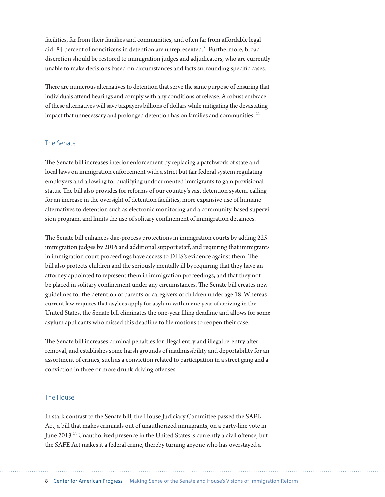facilities, far from their families and communities, and often far from affordable legal aid: 84 percent of noncitizens in detention are unrepresented.<sup>21</sup> Furthermore, broad discretion should be restored to immigration judges and adjudicators, who are currently unable to make decisions based on circumstances and facts surrounding specific cases.

There are numerous alternatives to detention that serve the same purpose of ensuring that individuals attend hearings and comply with any conditions of release. A robust embrace of these alternatives will save taxpayers billions of dollars while mitigating the devastating impact that unnecessary and prolonged detention has on families and communities.<sup>22</sup>

#### The Senate

The Senate bill increases interior enforcement by replacing a patchwork of state and local laws on immigration enforcement with a strict but fair federal system regulating employers and allowing for qualifying undocumented immigrants to gain provisional status. The bill also provides for reforms of our country's vast detention system, calling for an increase in the oversight of detention facilities, more expansive use of humane alternatives to detention such as electronic monitoring and a community-based supervision program, and limits the use of solitary confinement of immigration detainees.

The Senate bill enhances due-process protections in immigration courts by adding 225 immigration judges by 2016 and additional support staff, and requiring that immigrants in immigration court proceedings have access to DHS's evidence against them. The bill also protects children and the seriously mentally ill by requiring that they have an attorney appointed to represent them in immigration proceedings, and that they not be placed in solitary confinement under any circumstances. The Senate bill creates new guidelines for the detention of parents or caregivers of children under age 18. Whereas current law requires that asylees apply for asylum within one year of arriving in the United States, the Senate bill eliminates the one-year \$ling deadline and allows for some asylum applicants who missed this deadline to file motions to reopen their case.

The Senate bill increases criminal penalties for illegal entry and illegal re-entry after removal, and establishes some harsh grounds of inadmissibility and deportability for an assortment of crimes, such as a conviction related to participation in a street gang and a conviction in three or more drunk-driving offenses.

#### The House

In stark contrast to the Senate bill, the House Judiciary Committee passed the SAFE Act, a bill that makes criminals out of unauthorized immigrants, on a party-line vote in June 2013.<sup>23</sup> Unauthorized presence in the United States is currently a civil offense, but the SAFE Act makes it a federal crime, thereby turning anyone who has overstayed a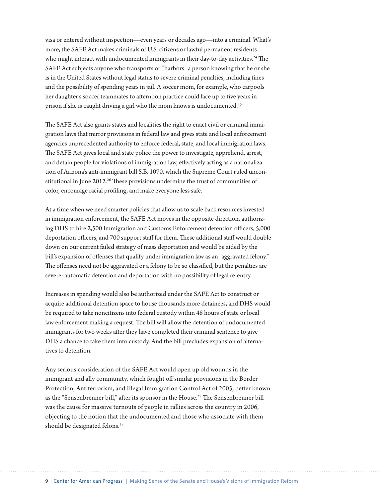visa or entered without inspection—even years or decades ago—into a criminal. What's more, the SAFE Act makes criminals of U.S. citizens or lawful permanent residents who might interact with undocumented immigrants in their day-to-day activities.<sup>24</sup> The SAFE Act subjects anyone who transports or "harbors" a person knowing that he or she is in the United States without legal status to severe criminal penalties, including fines and the possibility of spending years in jail. A soccer mom, for example, who carpools her daughter's soccer teammates to afternoon practice could face up to five years in prison if she is caught driving a girl who the mom knows is undocumented.25

The SAFE Act also grants states and localities the right to enact civil or criminal immigration laws that mirror provisions in federal law and gives state and local enforcement agencies unprecedented authority to enforce federal, state, and local immigration laws. The SAFE Act gives local and state police the power to investigate, apprehend, arrest, and detain people for violations of immigration law, effectively acting as a nationalization of Arizona's anti-immigrant bill S.B. 1070, which the Supreme Court ruled unconstitutional in June 2012.<sup>26</sup> These provisions undermine the trust of communities of color, encourage racial profiling, and make everyone less safe.

At a time when we need smarter policies that allow us to scale back resources invested in immigration enforcement, the SAFE Act moves in the opposite direction, authorizing DHS to hire 2,500 Immigration and Customs Enforcement detention officers, 5,000 deportation officers, and 700 support staff for them. These additional staff would double down on our current failed strategy of mass deportation and would be aided by the bill's expansion of offenses that qualify under immigration law as an "aggravated felony." The offenses need not be aggravated or a felony to be so classified, but the penalties are severe: automatic detention and deportation with no possibility of legal re-entry.

Increases in spending would also be authorized under the SAFE Act to construct or acquire additional detention space to house thousands more detainees, and DHS would be required to take noncitizens into federal custody within 48 hours of state or local law enforcement making a request. The bill will allow the detention of undocumented immigrants for two weeks after they have completed their criminal sentence to give DHS a chance to take them into custody. And the bill precludes expansion of alternatives to detention.

Any serious consideration of the SAFE Act would open up old wounds in the immigrant and ally community, which fought off similar provisions in the Border Protection, Antiterrorism, and Illegal Immigration Control Act of 2005, better known as the "Sensenbrenner bill," after its sponsor in the House.<sup>27</sup> The Sensenbrenner bill was the cause for massive turnouts of people in rallies across the country in 2006, objecting to the notion that the undocumented and those who associate with them should be designated felons.<sup>28</sup>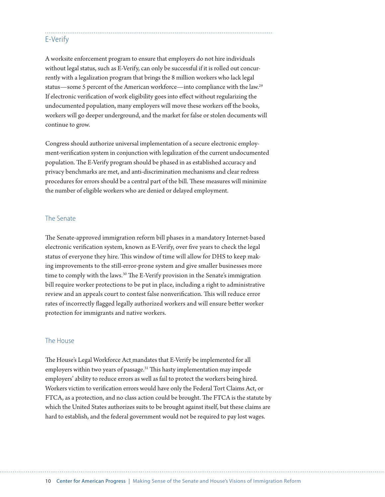## E-Verify

A worksite enforcement program to ensure that employers do not hire individuals without legal status, such as E-Verify, can only be successful if it is rolled out concurrently with a legalization program that brings the 8 million workers who lack legal status—some 5 percent of the American workforce—into compliance with the law.29 If electronic verification of work eligibility goes into effect without regularizing the undocumented population, many employers will move these workers off the books, workers will go deeper underground, and the market for false or stolen documents will continue to grow.

Congress should authorize universal implementation of a secure electronic employment-verification system in conjunction with legalization of the current undocumented population. The E-Verify program should be phased in as established accuracy and privacy benchmarks are met, and anti-discrimination mechanisms and clear redress procedures for errors should be a central part of the bill. These measures will minimize the number of eligible workers who are denied or delayed employment.

#### The Senate

The Senate-approved immigration reform bill phases in a mandatory Internet-based electronic verification system, known as E-Verify, over five years to check the legal status of everyone they hire. This window of time will allow for DHS to keep making improvements to the still-error-prone system and give smaller businesses more time to comply with the laws.<sup>30</sup> The E-Verify provision in the Senate's immigration bill require worker protections to be put in place, including a right to administrative review and an appeals court to contest false nonverification. This will reduce error rates of incorrectly flagged legally authorized workers and will ensure better worker protection for immigrants and native workers.

#### The House

The House's Legal Workforce Act mandates that E-Verify be implemented for all employers within two years of passage. $31$  This hasty implementation may impede employers' ability to reduce errors as well as fail to protect the workers being hired. Workers victim to verification errors would have only the Federal Tort Claims Act, or FTCA, as a protection, and no class action could be brought. The FTCA is the statute by which the United States authorizes suits to be brought against itself, but these claims are hard to establish, and the federal government would not be required to pay lost wages.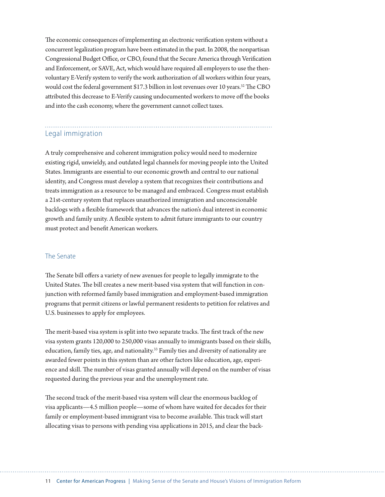The economic consequences of implementing an electronic verification system without a concurrent legalization program have been estimated in the past. In 2008, the nonpartisan Congressional Budget Office, or CBO, found that the Secure America through Verification and Enforcement, or SAVE, Act, which would have required all employers to use the thenvoluntary E-Verify system to verify the work authorization of all workers within four years, would cost the federal government \$17.3 billion in lost revenues over 10 years.<sup>32</sup> The CBO attributed this decrease to E-Verify causing undocumented workers to move off the books and into the cash economy, where the government cannot collect taxes.

# Legal immigration

A truly comprehensive and coherent immigration policy would need to modernize existing rigid, unwieldy, and outdated legal channels for moving people into the United States. Immigrants are essential to our economic growth and central to our national identity, and Congress must develop a system that recognizes their contributions and treats immigration as a resource to be managed and embraced. Congress must establish a 21st-century system that replaces unauthorized immigration and unconscionable backlogs with a flexible framework that advances the nation's dual interest in economic growth and family unity. A flexible system to admit future immigrants to our country must protect and benefit American workers.

#### The Senate

The Senate bill offers a variety of new avenues for people to legally immigrate to the United States. The bill creates a new merit-based visa system that will function in conjunction with reformed family based immigration and employment-based immigration programs that permit citizens or lawful permanent residents to petition for relatives and U.S. businesses to apply for employees.

The merit-based visa system is split into two separate tracks. The first track of the new visa system grants 120,000 to 250,000 visas annually to immigrants based on their skills, education, family ties, age, and nationality.33 Family ties and diversity of nationality are awarded fewer points in this system than are other factors like education, age, experience and skill. The number of visas granted annually will depend on the number of visas requested during the previous year and the unemployment rate.

The second track of the merit-based visa system will clear the enormous backlog of visa applicants—4.5 million people—some of whom have waited for decades for their family or employment-based immigrant visa to become available. This track will start allocating visas to persons with pending visa applications in 2015, and clear the back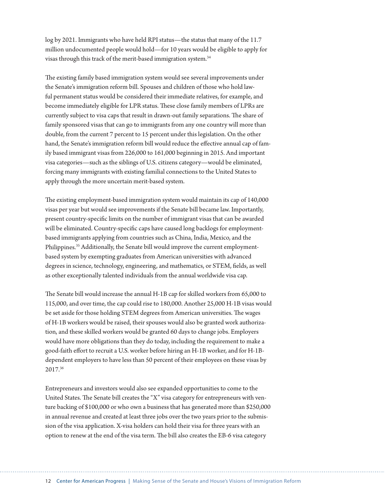log by 2021. Immigrants who have held RPI status—the status that many of the 11.7 million undocumented people would hold—for 10 years would be eligible to apply for visas through this track of the merit-based immigration system.34

The existing family based immigration system would see several improvements under the Senate's immigration reform bill. Spouses and children of those who hold lawful permanent status would be considered their immediate relatives, for example, and become immediately eligible for LPR status. These close family members of LPRs are currently subject to visa caps that result in drawn-out family separations. The share of family sponsored visas that can go to immigrants from any one country will more than double, from the current 7 percent to 15 percent under this legislation. On the other hand, the Senate's immigration reform bill would reduce the effective annual cap of family based immigrant visas from 226,000 to 161,000 beginning in 2015. And important visa categories—such as the siblings of U.S. citizens category—would be eliminated, forcing many immigrants with existing familial connections to the United States to apply through the more uncertain merit-based system.

The existing employment-based immigration system would maintain its cap of 140,000 visas per year but would see improvements if the Senate bill became law. Importantly, present country-specific limits on the number of immigrant visas that can be awarded will be eliminated. Country-specific caps have caused long backlogs for employmentbased immigrants applying from countries such as China, India, Mexico, and the Philippines.<sup>35</sup> Additionally, the Senate bill would improve the current employmentbased system by exempting graduates from American universities with advanced degrees in science, technology, engineering, and mathematics, or STEM, fields, as well as other exceptionally talented individuals from the annual worldwide visa cap.

The Senate bill would increase the annual H-1B cap for skilled workers from 65,000 to 115,000, and over time, the cap could rise to 180,000. Another 25,000 H-1B visas would be set aside for those holding STEM degrees from American universities. The wages of H-1B workers would be raised, their spouses would also be granted work authorization, and these skilled workers would be granted 60 days to change jobs. Employers would have more obligations than they do today, including the requirement to make a good-faith effort to recruit a U.S. worker before hiring an H-1B worker, and for H-1Bdependent employers to have less than 50 percent of their employees on these visas by 2017.36

Entrepreneurs and investors would also see expanded opportunities to come to the United States. The Senate bill creates the "X" visa category for entrepreneurs with venture backing of \$100,000 or who own a business that has generated more than \$250,000 in annual revenue and created at least three jobs over the two years prior to the submission of the visa application. X-visa holders can hold their visa for three years with an option to renew at the end of the visa term. The bill also creates the EB-6 visa category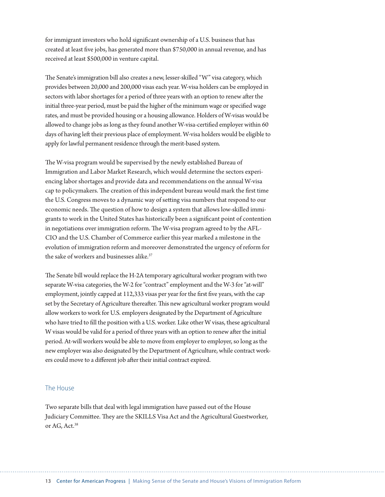for immigrant investors who hold significant ownership of a U.S. business that has created at least five jobs, has generated more than \$750,000 in annual revenue, and has received at least \$500,000 in venture capital.

The Senate's immigration bill also creates a new, lesser-skilled "W" visa category, which provides between 20,000 and 200,000 visas each year. W-visa holders can be employed in sectors with labor shortages for a period of three years with an option to renew after the initial three-year period, must be paid the higher of the minimum wage or specified wage rates, and must be provided housing or a housing allowance. Holders of W-visas would be allowed to change jobs as long as they found another W-visa-certified employer within 60 days of having left their previous place of employment. W-visa holders would be eligible to apply for lawful permanent residence through the merit-based system.

The W-visa program would be supervised by the newly established Bureau of Immigration and Labor Market Research, which would determine the sectors experiencing labor shortages and provide data and recommendations on the annual W-visa cap to policymakers. The creation of this independent bureau would mark the first time the U.S. Congress moves to a dynamic way of setting visa numbers that respond to our economic needs. The question of how to design a system that allows low-skilled immigrants to work in the United States has historically been a significant point of contention in negotiations over immigration reform. The W-visa program agreed to by the AFL-CIO and the U.S. Chamber of Commerce earlier this year marked a milestone in the evolution of immigration reform and moreover demonstrated the urgency of reform for the sake of workers and businesses alike.<sup>37</sup>

The Senate bill would replace the H-2A temporary agricultural worker program with two separate W-visa categories, the W-2 for "contract" employment and the W-3 for "at-will" employment, jointly capped at 112,333 visas per year for the first five years, with the cap set by the Secretary of Agriculture thereafter. This new agricultural worker program would allow workers to work for U.S. employers designated by the Department of Agriculture who have tried to fill the position with a U.S. worker. Like other W visas, these agricultural W visas would be valid for a period of three years with an option to renew after the initial period. At-will workers would be able to move from employer to employer, so long as the new employer was also designated by the Department of Agriculture, while contract workers could move to a different job after their initial contract expired.

#### The House

Two separate bills that deal with legal immigration have passed out of the House Judiciary Committee. They are the SKILLS Visa Act and the Agricultural Guestworker, or AG, Act.38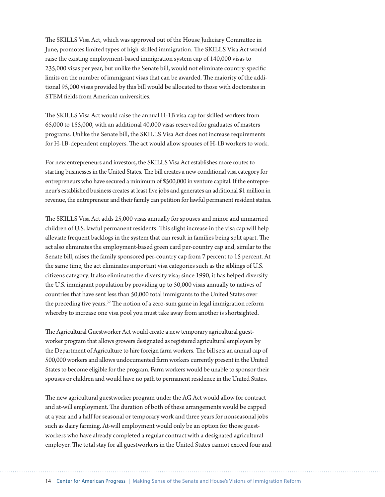The SKILLS Visa Act, which was approved out of the House Judiciary Committee in June, promotes limited types of high-skilled immigration. The SKILLS Visa Act would raise the existing employment-based immigration system cap of 140,000 visas to 235,000 visas per year, but unlike the Senate bill, would not eliminate country-specific limits on the number of immigrant visas that can be awarded. The majority of the additional 95,000 visas provided by this bill would be allocated to those with doctorates in STEM fields from American universities.

The SKILLS Visa Act would raise the annual H-1B visa cap for skilled workers from 65,000 to 155,000, with an additional 40,000 visas reserved for graduates of masters programs. Unlike the Senate bill, the SKILLS Visa Act does not increase requirements for H-1B-dependent employers. The act would allow spouses of H-1B workers to work.

For new entrepreneurs and investors, the SKILLS Visa Act establishes more routes to starting businesses in the United States. The bill creates a new conditional visa category for entrepreneurs who have secured a minimum of \$500,000 in venture capital. If the entrepreneur's established business creates at least five jobs and generates an additional \$1 million in revenue, the entrepreneur and their family can petition for lawful permanent resident status.

The SKILLS Visa Act adds 25,000 visas annually for spouses and minor and unmarried children of U.S. lawful permanent residents. This slight increase in the visa cap will help alleviate frequent backlogs in the system that can result in families being split apart. The act also eliminates the employment-based green card per-country cap and, similar to the Senate bill, raises the family sponsored per-country cap from 7 percent to 15 percent. At the same time, the act eliminates important visa categories such as the siblings of U.S. citizens category. It also eliminates the diversity visa; since 1990, it has helped diversify the U.S. immigrant population by providing up to 50,000 visas annually to natives of countries that have sent less than 50,000 total immigrants to the United States over the preceding five years.<sup>39</sup> The notion of a zero-sum game in legal immigration reform whereby to increase one visa pool you must take away from another is shortsighted.

The Agricultural Guestworker Act would create a new temporary agricultural guestworker program that allows growers designated as registered agricultural employers by the Department of Agriculture to hire foreign farm workers. The bill sets an annual cap of 500,000 workers and allows undocumented farm workers currently present in the United States to become eligible for the program. Farm workers would be unable to sponsor their spouses or children and would have no path to permanent residence in the United States.

The new agricultural guestworker program under the AG Act would allow for contract and at-will employment. The duration of both of these arrangements would be capped at a year and a half for seasonal or temporary work and three years for nonseasonal jobs such as dairy farming. At-will employment would only be an option for those guestworkers who have already completed a regular contract with a designated agricultural employer. The total stay for all guestworkers in the United States cannot exceed four and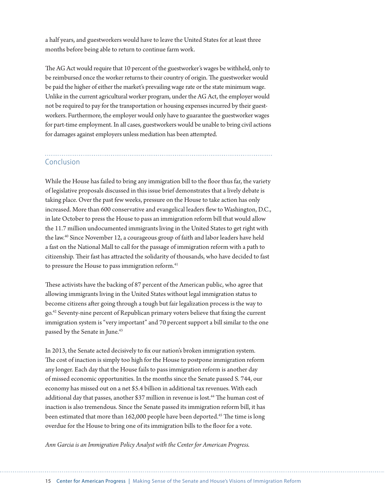a half years, and guestworkers would have to leave the United States for at least three months before being able to return to continue farm work.

The AG Act would require that 10 percent of the guestworker's wages be withheld, only to be reimbursed once the worker returns to their country of origin. The guestworker would be paid the higher of either the market's prevailing wage rate or the state minimum wage. Unlike in the current agricultural worker program, under the AG Act, the employer would not be required to pay for the transportation or housing expenses incurred by their guestworkers. Furthermore, the employer would only have to guarantee the guestworker wages for part-time employment. In all cases, guestworkers would be unable to bring civil actions for damages against employers unless mediation has been attempted.

# Conclusion

While the House has failed to bring any immigration bill to the floor thus far, the variety of legislative proposals discussed in this issue brief demonstrates that a lively debate is taking place. Over the past few weeks, pressure on the House to take action has only increased. More than 600 conservative and evangelical leaders flew to Washington, D.C., in late October to press the House to pass an immigration reform bill that would allow the 11.7 million undocumented immigrants living in the United States to get right with the law.40 Since November 12, a courageous group of faith and labor leaders have held a fast on the National Mall to call for the passage of immigration reform with a path to citizenship. Their fast has attracted the solidarity of thousands, who have decided to fast to pressure the House to pass immigration reform.<sup>41</sup>

These activists have the backing of 87 percent of the American public, who agree that allowing immigrants living in the United States without legal immigration status to become citizens after going through a tough but fair legalization process is the way to go.<sup>42</sup> Seventy-nine percent of Republican primary voters believe that fixing the current immigration system is "very important" and 70 percent support a bill similar to the one passed by the Senate in June.<sup>43</sup>

In 2013, the Senate acted decisively to fix our nation's broken immigration system. The cost of inaction is simply too high for the House to postpone immigration reform any longer. Each day that the House fails to pass immigration reform is another day of missed economic opportunities. In the months since the Senate passed S. 744, our economy has missed out on a net \$5.4 billion in additional tax revenues. With each additional day that passes, another \$37 million in revenue is lost.<sup>44</sup> The human cost of inaction is also tremendous. Since the Senate passed its immigration reform bill, it has been estimated that more than 162,000 people have been deported.<sup>45</sup> The time is long overdue for the House to bring one of its immigration bills to the floor for a vote.

*Ann Garcia is an Immigration Policy Analyst with the Center for American Progress.*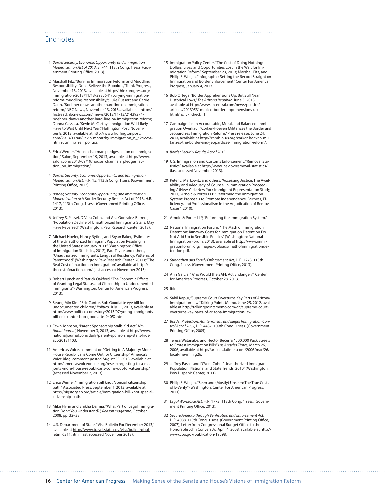#### Endnotes

- 1 Border Security, Economic Opportunity, and Immigration Modernization Act of 2013, S. 744, 113th Cong. 1 sess. (Government Printing Office, 2013).
- 2 Marshall Fitz, "Burying Immigration Reform and Muddling Responsibility: Don't Believe the Boobirds," Think Progress, November 13, 2013, available at http://thinkprogress.org/ immigration/2013/11/13/2935541/burying-immigrationreform-muddling-responsibility/; Luke Russert and Carrie Dann, "Boehner draws another hard line on immigration reform," NBC News, November 13, 2013, available at http:// firstread.nbcnews.com/\_news/2013/11/13/21439274boehner-draws-another-hard-line-on-immigration-reform; Donna Cassata, "Kevin McCarthy: Immigration Will Likely Have to Wait Until Next Year," Huffington Post, November 8, 2013, available at http://www.huffingtonpost. com/2013/11/08/kevin-mccarthy-immigration\_n\_4242250. html?utm\_hp\_ref=politics.
- 3 Erica Werner, "House chairman pledges action on immigration," Salon, September 19, 2013, available at http://www. salon.com/2013/09/19/house\_chairman\_pledges\_action\_on\_immigration/.
- 4 Border, Security, Economic Opportunity, and Immigration Modernization Act, H.R. 15, 113th Cong. 1 sess. (Government Printing Office, 2013).
- 5 Border, Security, Economic Opportunity, and Immigration Modernization Act; Border Security Results Act of 2013, H.R. 1417, 113th Cong. 1 sess. (Government Printing Office, 2013).
- 6 Jeffrey S. Passel, D'Vera Cohn, and Ana Gonzalez-Barrera, "Population Decline of Unauthorized Immigrants Stalls, May Have Reversed" (Washington: Pew Research Center, 2013).
- 7 Michael Hoefer, Nancy Rytina, and Bryan Baker, "Estimates of the Unauthorized Immigrant Population Residing in the United States: January 2011" (Washington: Office of Immigration Statistics, 2012); Paul Taylor and others, "Unauthorized Immigrants: Length of Residency, Patterns of Parenthood" (Washington: Pew Research Center, 2011); "The Real Cost of Inaction on Immigration," available at http:// thecostofinaction.com/ (last accessed November 2013).
- 8 Robert Lynch and Patrick Oakford, "The Economic Effects of Granting Legal Status and Citizenship to Undocumented Immigrants" (Washington: Center for American Progress, 2013).
- 9 Seung Min Kim, "Eric Cantor, Bob Goodlatte eye bill for undocumented children," Politico, July 11, 2013, available at http://www.politico.com/story/2013/07/young-immigrantsbill-eric-cantor-bob-goodlatte-94052.html.
- 10 Fawn Johnson, "Parent Sponsorship Stalls Kid Act," National Journal, November 3, 2013, available at http://www. nationaljournal.com/daily/parent-sponsorship-stalls-kidsact-20131103.
- 11 America's Voice, comment on "Getting to A Majority: More House Republicans Come Out for Citizenship," America's Voice blog, comment posted August 23, 2013, available at http://americasvoiceonline.org/research/getting-to-a-majority-more-house-republicans-come-out-for-citizenship/ (accessed November 7, 2013).
- 12 Erica Werner, "Immigration bill knot: 'Special' citizenship path," Associated Press, September 1, 2013, available at http://bigstory.ap.org/article/immigration-bill-knot-specialcitizenship-path.
- 13 Mike Flynn and Shikha Dalmia, "What Part of Legal Immigration Don't You Understand?", Reason magazine, October 2008, pp. 32–33.
- 14 U.S. Department of State, "Visa Bulletin For December 2013," available at <u>http://www.travel.state.gov/visa/bulletin/bul-</u><br><u>letin\_6211.html</u> (last accessed November 2013).
- 15 Immigration Policy Center, "The Cost of Doing Nothing: Dollars, Lives, and Opportunities Lost in the Wait for Immigration Reform," September 23, 2013; Marshall Fitz, and Philip E. Wolgin, "Infographic: Setting the Record Straight on Immigration and Border Enforcement," Center For American Progress, January 4, 2013.
- 16 Bob Ortega, "Border Apprehensions Up, But Still Near Historical Lows," The Arizona Republic, June 3, 2013, available at http://www.azcentral.com/news/politics/ articles/20130531mexico-border-apprehensions-up. html?nclick\_check=1.
- 17 Campaign for an Accountable, Moral, and Balanced Immigration Overhaul, "Corker-Hoeven Militarizes the Border and Jeopardizes Immigration Reform," Press release, June 24, 2013, available at http://cambio-us.org/corker-hoeven-militarizes-the-border-and-jeopardizes-immigration-reform/.
- 18 Border Security Results Act of 2013

- 19 U.S. Immigration and Customs Enforcement, "Removal Statistics," available at http://www.ice.gov/removal-statistics/ (last accessed November 2013).
- 20 Peter L. Markowitz and others, "Accessing Justice: The Availability and Adequacy of Counsel in Immigration Proceedings" (New York: New York Immigrant Representation Study, 2011); Arnold & Porter LLP, "Reforming the Immigration System: Proposals to Promote Independence, Fairness, Ef ficiency, and Professionalism in the Adjudication of Removal Cases" (2010).
- 21 Arnold & Porter LLP, "Reforming the Immigration System."
- 22 National Immigration Forum, "The Math of Immigration Detention: Runaway Costs for Immigration Detention Do Not Add Up to Sensible Policies" (Washington: National Immigration Forum, 2013), available at http://www.immigrationforum.org/images/uploads/mathofimmigrationdetention.pdf.
- 23 Strengthen and Fortify Enforcement Act, H.R. 2278, 113th Cong. 1 sess. (Government Printing Office, 2013).
- 24 Ann Garcia, "Who Would the SAFE Act Endanger?", Center for American Progress, October 28, 2013.
- 25 Ibid.
- 26 Sahil Kapur, "Supreme Court Overturns Key Parts of Arizona Immigration Law," Talking Points Memo, June 25, 2012, available at http://talkingpointsmemo.com/dc/supreme-courtoverturns-key-parts-of-arizona-immigration-law.
- 27 Border Protection, Antiterrorism, and Illegal Immigration Control Act of 2005, H.R. 4437, 109th Cong. 1 sess. (Government Printing Office, 2005).
- 28 Teresa Watanabe, and Hector Becerra, "500,000 Pack Streets to Protest Immigration Bills," Los Angeles Times, March 26, 2006, available at http://articles.latimes.com/2006/mar/26/ local/me-immig26.
- 29 Jeffrey Passel and D'Vera Cohn, "Unauthorized Immigrant Population: National and State Trends, 2010" (Washington: Pew Hispanic Center, 2011).
- 30 Philip E. Wolgin, "Seen and (Mostly) Unseen: The True Costs of E-Verify" (Washington: Center For American Progress, 2011).
- 31 Legal Workforce Act, H.R. 1772, 113th Cong. 1 sess. (Government Printing Office, 2013).
- 32 Secure America through Verification and Enforcement Act, H.R. 4088, 110th Cong. 1 sess. (Government Printing Office, 2007); Letter from Congressional Budget Office to the Honorable John Conyers Jr., April 4, 2008, available at http:// www.cbo.gov/publication/19598.